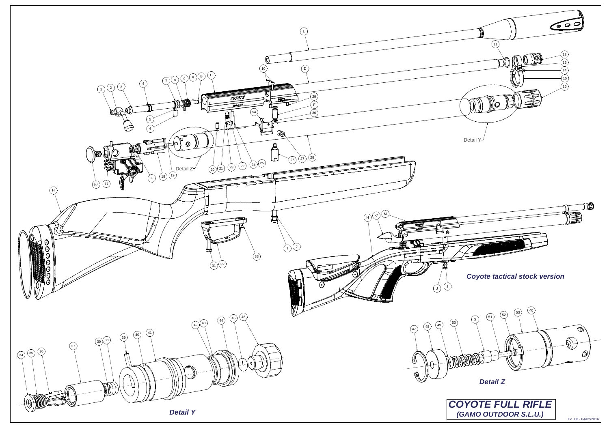